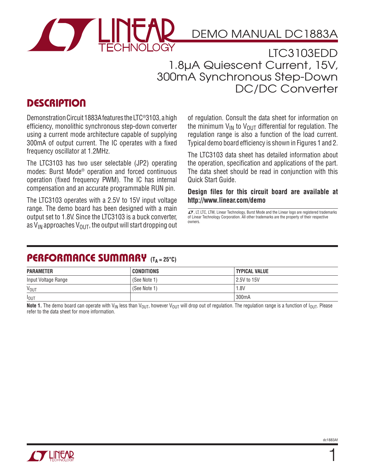

LTC3103EDD 1.8µA Quiescent Current, 15V, 300mA Synchronous Step-Down DC/DC Converter

### **DESCRIPTION**

Demonstration Circuit 1883A features the LTC®3103, a high efficiency, monolithic synchronous step-down converter using a current mode architecture capable of supplying 300mA of output current. The IC operates with a fixed frequency oscillator at 1.2MHz.

The LTC3103 has two user selectable (JP2) operating modes: Burst Mode® operation and forced continuous operation (fixed frequency PWM). The IC has internal compensation and an accurate programmable RUN pin.

The LTC3103 operates with a 2.5V to 15V input voltage range. The demo board has been designed with a main output set to 1.8V. Since the LTC3103 is a buck converter, as  $V_{IN}$  approaches  $V_{OUT}$ , the output will start dropping out of regulation. Consult the data sheet for information on the minimum  $V_{IN}$  to  $V_{OIII}$  differential for regulation. The regulation range is also a function of the load current. Typical demo board efficiency is shown in Figures 1 and 2.

The LTC3103 data sheet has detailed information about the operation, specification and applications of the part. The data sheet should be read in conjunction with this Quick Start Guide.

**Design files for this circuit board are available at http://www.linear.com/demo**

 $\sqrt{J}$ , LT, LTC, LTM, Linear Technology, Burst Mode and the Linear logo are registered trademarks of Linear Technology Corporation. All other trademarks are the property of their respective owners.

### PERFORMANCE SUMMARY (T<sub>A = 25°C)</sub>

| <b>PARAMETER</b>       | <b>CONDITIONS</b> | <b>TYPICAL VALUE</b> |
|------------------------|-------------------|----------------------|
| Input Voltage Range    | (See Note 1)      | 2.5V to 15V          |
| <b>V<sub>OUT</sub></b> | (See Note 1)      | 1.8V                 |
| $I_{OUT}$              |                   | 300mA                |

Note 1. The demo board can operate with V<sub>IN</sub> less than V<sub>OUT</sub>, however V<sub>OUT</sub> will drop out of regulation. The regulation range is a function of  $I_{\text{OUT}}$ . Please refer to the data sheet for more information.



1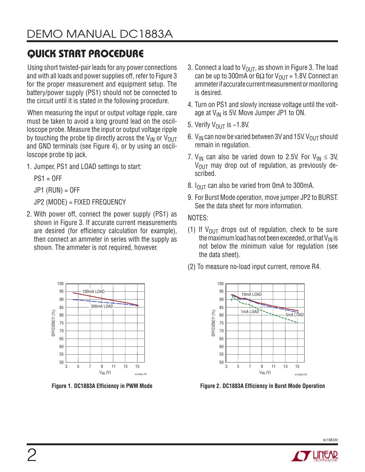# Quick Start Procedure

Using short twisted-pair leads for any power connections and with all loads and power supplies off, refer to Figure 3 for the proper measurement and equipment setup. The battery/power supply (PS1) should not be connected to the circuit until it is stated in the following procedure.

When measuring the input or output voltage ripple, care must be taken to avoid a long ground lead on the oscilloscope probe. Measure the input or output voltage ripple by touching the probe tip directly across the  $V_{IN}$  or  $V_{OIII}$ and GND terminals (see Figure 4), or by using an oscilloscope probe tip jack.

1. Jumper, PS1 and LOAD settings to start:

 $PS1 = OFF$ 

 $JP1$  (RUN) = OFF

JP2 (MODE) = FIXED FREQUENCY

2. With power off, connect the power supply (PS1) as shown in Figure 3. If accurate current measurements are desired (for efficiency calculation for example), then connect an ammeter in series with the supply as shown. The ammeter is not required, however.



- 3. Connect a load to  $V_{\text{OUT}}$ , as shown in Figure 3. The load can be up to 300mA or  $6\Omega$  for  $V_{\text{OUT}} = 1.8V$ . Connect an ammeter if accurate current measurement or monitoring is desired.
- 4. Turn on PS1 and slowly increase voltage until the voltage at V<sub>IN</sub> is 5V. Move Jumper JP1 to ON.
- 5. Verify  $V_{\text{OUT}}$  is ~1.8V.
- 6.  $V_{IN}$  can now be varied between 3V and 15V.  $V_{OUT}$  should remain in regulation.
- 7. V<sub>IN</sub> can also be varied down to 2.5V. For V<sub>IN</sub>  $\leq$  3V,  $V_{\text{OUT}}$  may drop out of regulation, as previously described.
- 8.  $I_{\text{OUT}}$  can also be varied from 0mA to 300mA.
- 9. For Burst Mode operation, move jumper JP2 to BURST. See the data sheet for more information.

NOTES:

- (1) If  $V_{\text{OUT}}$  drops out of regulation, check to be sure the maximum load has not been exceeded, or that  $V_{IN}$  is not below the minimum value for regulation (see the data sheet).
- (2) To measure no-load input current, remove R4.



**Figure 1. DC1883A Efficiency in PWM Mode Figure 2. DC1883A Efficiency in Burst Mode Operation**



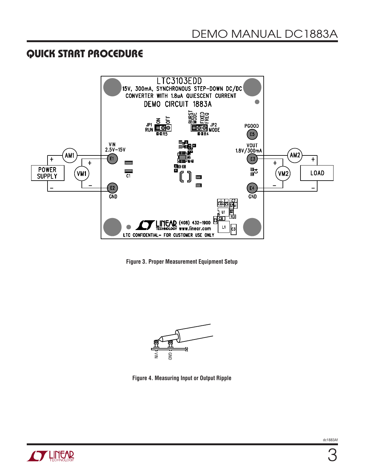#### Quick Start Procedure



**Figure 3. Proper Measurement Equipment Setup**



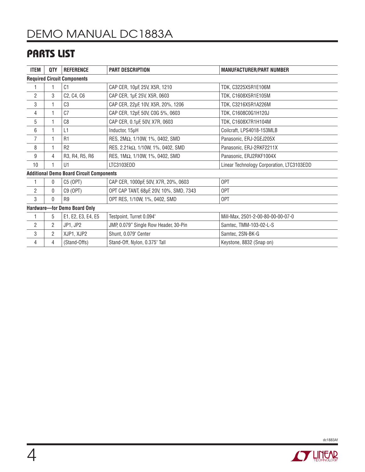## Parts List

| <b>ITEM</b>                                     | QTY            | <b>REFERENCE</b>   | <b>PART DESCRIPTION</b>                 | <b>MANUFACTURER/PART NUMBER</b>           |  |
|-------------------------------------------------|----------------|--------------------|-----------------------------------------|-------------------------------------------|--|
| <b>Required Circuit Components</b>              |                |                    |                                         |                                           |  |
|                                                 |                | C <sub>1</sub>     | CAP CER, 10µF, 25V, X5R, 1210           | TDK, C3225X5R1E106M                       |  |
| $\overline{2}$                                  | 3              | C2, C4, C6         | CAP CER, 1µF, 25V, X5R, 0603            | TDK, C1608X5R1E105M                       |  |
| 3                                               | 1              | C <sub>3</sub>     | CAP CER, 22µF, 10V, X5R, 20%, 1206      | TDK, C3216X5R1A226M                       |  |
| 4                                               | $\mathbf{1}$   | C <sub>7</sub>     | CAP CER, 12pF, 50V, COG 5%, 0603        | TDK, C1608C0G1H120J                       |  |
| 5                                               | 1              | C <sub>8</sub>     | CAP CER, 0.1µF, 50V, X7R, 0603          | TDK, C1608X7R1H104M                       |  |
| 6                                               | $\mathbf{1}$   | L1                 | Inductor, 15µH                          | Coilcraft, LPS4018-153MLB                 |  |
| $\overline{7}$                                  | 1              | R <sub>1</sub>     | RES, 2ΜΩ, 1/10W, 1%, 0402, SMD          | Panasonic, ERJ-2GEJ205X                   |  |
| 8                                               | 1              | R <sub>2</sub>     | RES, 2.21kΩ, 1/10W, 1%, 0402, SMD       | Panasonic, ERJ-2RKF2211X                  |  |
| 9                                               | 4              | R3, R4, R5, R6     | RES, 1ΜΩ, 1/10W, 1%, 0402, SMD          | Panasonic, ERJ2RKF1004X                   |  |
| 10                                              | 1              | U1                 | LTC3103EDD                              | Linear Technology Corporation, LTC3103EDD |  |
| <b>Additional Demo Board Circuit Components</b> |                |                    |                                         |                                           |  |
| $\mathbf{1}$                                    | $\mathbf 0$    | C5 (OPT)           | CAP CER, 1000pF, 50V, X7R, 20%, 0603    | 0PT                                       |  |
| $\overline{2}$                                  | 0              | C9 (OPT)           | OPT CAP TANT, 68µF, 20V, 10%, SMD, 7343 | 0PT                                       |  |
| 3                                               | $\Omega$       | R <sub>9</sub>     | OPT RES, 1/10W, 1%, 0402, SMD           | 0PT                                       |  |
| Hardware-for Demo Board Only                    |                |                    |                                         |                                           |  |
| 1                                               | 5              | E1, E2, E3, E4, E5 | Testpoint, Turret 0.094"                | Mill-Max, 2501-2-00-80-00-00-07-0         |  |
| $\overline{2}$                                  | $\overline{2}$ | JP1, JP2           | JMP, 0.079" Single Row Header, 30-Pin   | Samtec, TMM-103-02-L-S                    |  |
| 3                                               | $\overline{2}$ | XJP1, XJP2         | Shunt, 0.079" Center                    | Samtec, 2SN-BK-G                          |  |
| 4                                               | 4              | (Stand-Offs)       | Stand-Off, Nylon, 0.375" Tall           | Keystone, 8832 (Snap on)                  |  |



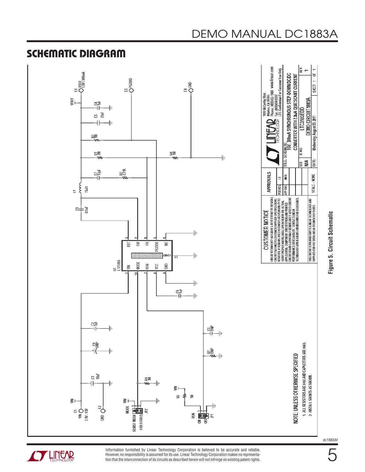

**STARTED LINEAR** 

Schematic Diagram

Information furnished by Linear Technology Corporation is believed to be accurate and reliable. However, no responsibility is assumed for its use. Linear Technology Corporation makes no representation that the interconnection of its circuits as described herein will not infringe on existing patent rights.

**Figure 5. Circuit Schematic**

dc1883Af

5